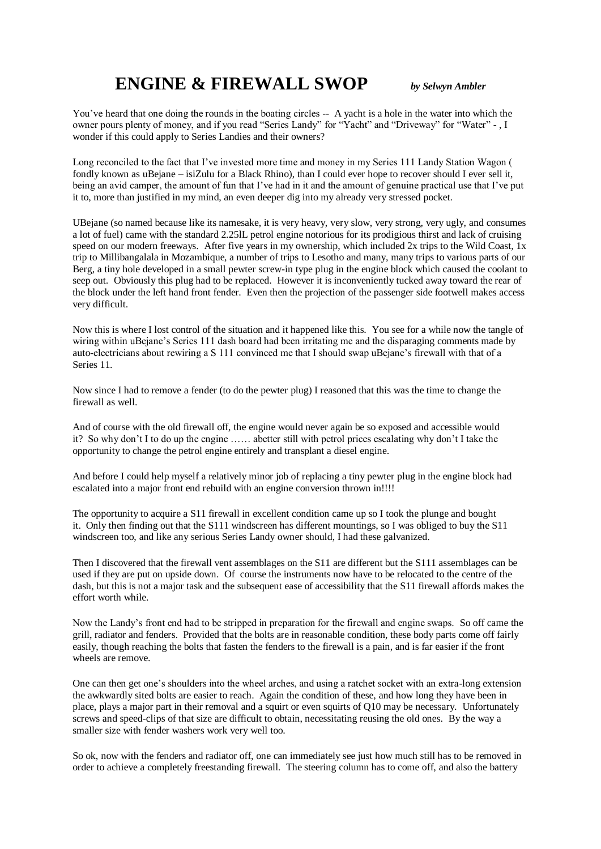## **ENGINE & FIREWALL SWOP** *by Selwyn Ambler*

You've heard that one doing the rounds in the boating circles -- A yacht is a hole in the water into which the owner pours plenty of money, and if you read "Series Landy" for "Yacht" and "Driveway" for "Water" - , I wonder if this could apply to Series Landies and their owners?

Long reconciled to the fact that I've invested more time and money in my Series 111 Landy Station Wagon ( fondly known as uBejane – isiZulu for a Black Rhino), than I could ever hope to recover should I ever sell it, being an avid camper, the amount of fun that I've had in it and the amount of genuine practical use that I've put it to, more than justified in my mind, an even deeper dig into my already very stressed pocket.

UBejane (so named because like its namesake, it is very heavy, very slow, very strong, very ugly, and consumes a lot of fuel) came with the standard 2.25lL petrol engine notorious for its prodigious thirst and lack of cruising speed on our modern freeways. After five years in my ownership, which included 2x trips to the Wild Coast, 1x trip to Millibangalala in Mozambique, a number of trips to Lesotho and many, many trips to various parts of our Berg, a tiny hole developed in a small pewter screw-in type plug in the engine block which caused the coolant to seep out. Obviously this plug had to be replaced. However it is inconveniently tucked away toward the rear of the block under the left hand front fender. Even then the projection of the passenger side footwell makes access very difficult.

Now this is where I lost control of the situation and it happened like this. You see for a while now the tangle of wiring within uBejane's Series 111 dash board had been irritating me and the disparaging comments made by auto-electricians about rewiring a S 111 convinced me that I should swap uBejane's firewall with that of a Series 11.

Now since I had to remove a fender (to do the pewter plug) I reasoned that this was the time to change the firewall as well.

And of course with the old firewall off, the engine would never again be so exposed and accessible would it? So why don't I to do up the engine …… abetter still with petrol prices escalating why don't I take the opportunity to change the petrol engine entirely and transplant a diesel engine.

And before I could help myself a relatively minor job of replacing a tiny pewter plug in the engine block had escalated into a major front end rebuild with an engine conversion thrown in!!!!

The opportunity to acquire a S11 firewall in excellent condition came up so I took the plunge and bought it. Only then finding out that the S111 windscreen has different mountings, so I was obliged to buy the S11 windscreen too, and like any serious Series Landy owner should, I had these galvanized.

Then I discovered that the firewall vent assemblages on the S11 are different but the S111 assemblages can be used if they are put on upside down. Of course the instruments now have to be relocated to the centre of the dash, but this is not a major task and the subsequent ease of accessibility that the S11 firewall affords makes the effort worth while.

Now the Landy's front end had to be stripped in preparation for the firewall and engine swaps. So off came the grill, radiator and fenders. Provided that the bolts are in reasonable condition, these body parts come off fairly easily, though reaching the bolts that fasten the fenders to the firewall is a pain, and is far easier if the front wheels are remove.

One can then get one's shoulders into the wheel arches, and using a ratchet socket with an extra-long extension the awkwardly sited bolts are easier to reach. Again the condition of these, and how long they have been in place, plays a major part in their removal and a squirt or even squirts of Q10 may be necessary. Unfortunately screws and speed-clips of that size are difficult to obtain, necessitating reusing the old ones. By the way a smaller size with fender washers work very well too.

So ok, now with the fenders and radiator off, one can immediately see just how much still has to be removed in order to achieve a completely freestanding firewall. The steering column has to come off, and also the battery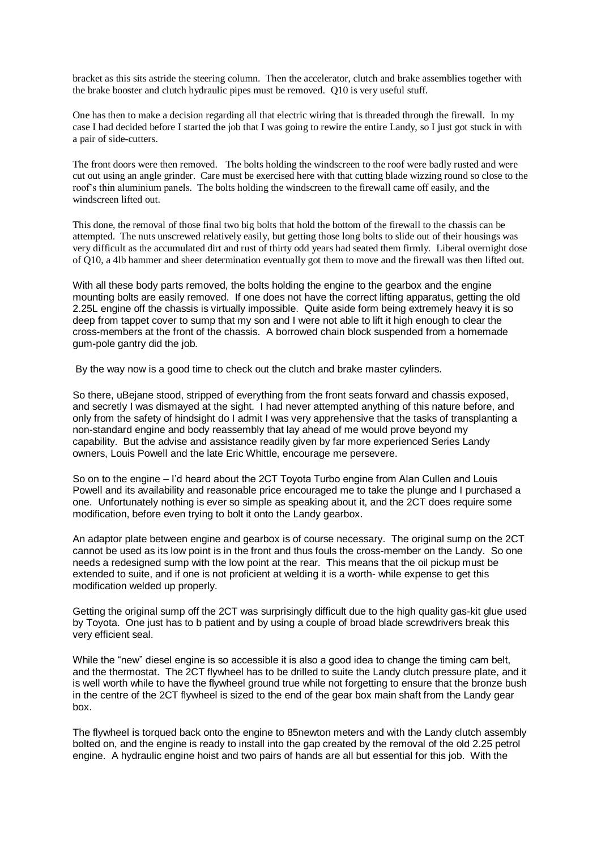bracket as this sits astride the steering column. Then the accelerator, clutch and brake assemblies together with the brake booster and clutch hydraulic pipes must be removed. Q10 is very useful stuff.

One has then to make a decision regarding all that electric wiring that is threaded through the firewall. In my case I had decided before I started the job that I was going to rewire the entire Landy, so I just got stuck in with a pair of side-cutters.

The front doors were then removed. The bolts holding the windscreen to the roof were badly rusted and were cut out using an angle grinder. Care must be exercised here with that cutting blade wizzing round so close to the roof's thin aluminium panels. The bolts holding the windscreen to the firewall came off easily, and the windscreen lifted out.

This done, the removal of those final two big bolts that hold the bottom of the firewall to the chassis can be attempted. The nuts unscrewed relatively easily, but getting those long bolts to slide out of their housings was very difficult as the accumulated dirt and rust of thirty odd years had seated them firmly. Liberal overnight dose of Q10, a 4lb hammer and sheer determination eventually got them to move and the firewall was then lifted out.

With all these body parts removed, the bolts holding the engine to the gearbox and the engine mounting bolts are easily removed. If one does not have the correct lifting apparatus, getting the old 2.25L engine off the chassis is virtually impossible. Quite aside form being extremely heavy it is so deep from tappet cover to sump that my son and I were not able to lift it high enough to clear the cross-members at the front of the chassis. A borrowed chain block suspended from a homemade gum-pole gantry did the job.

By the way now is a good time to check out the clutch and brake master cylinders.

So there, uBejane stood, stripped of everything from the front seats forward and chassis exposed, and secretly I was dismayed at the sight. I had never attempted anything of this nature before, and only from the safety of hindsight do I admit I was very apprehensive that the tasks of transplanting a non-standard engine and body reassembly that lay ahead of me would prove beyond my capability. But the advise and assistance readily given by far more experienced Series Landy owners, Louis Powell and the late Eric Whittle, encourage me persevere.

So on to the engine – I'd heard about the 2CT Toyota Turbo engine from Alan Cullen and Louis Powell and its availability and reasonable price encouraged me to take the plunge and I purchased a one. Unfortunately nothing is ever so simple as speaking about it, and the 2CT does require some modification, before even trying to bolt it onto the Landy gearbox.

An adaptor plate between engine and gearbox is of course necessary. The original sump on the 2CT cannot be used as its low point is in the front and thus fouls the cross-member on the Landy. So one needs a redesigned sump with the low point at the rear. This means that the oil pickup must be extended to suite, and if one is not proficient at welding it is a worth- while expense to get this modification welded up properly.

Getting the original sump off the 2CT was surprisingly difficult due to the high quality gas-kit glue used by Toyota. One just has to b patient and by using a couple of broad blade screwdrivers break this very efficient seal.

While the "new" diesel engine is so accessible it is also a good idea to change the timing cam belt, and the thermostat. The 2CT flywheel has to be drilled to suite the Landy clutch pressure plate, and it is well worth while to have the flywheel ground true while not forgetting to ensure that the bronze bush in the centre of the 2CT flywheel is sized to the end of the gear box main shaft from the Landy gear box.

The flywheel is torqued back onto the engine to 85newton meters and with the Landy clutch assembly bolted on, and the engine is ready to install into the gap created by the removal of the old 2.25 petrol engine. A hydraulic engine hoist and two pairs of hands are all but essential for this job. With the